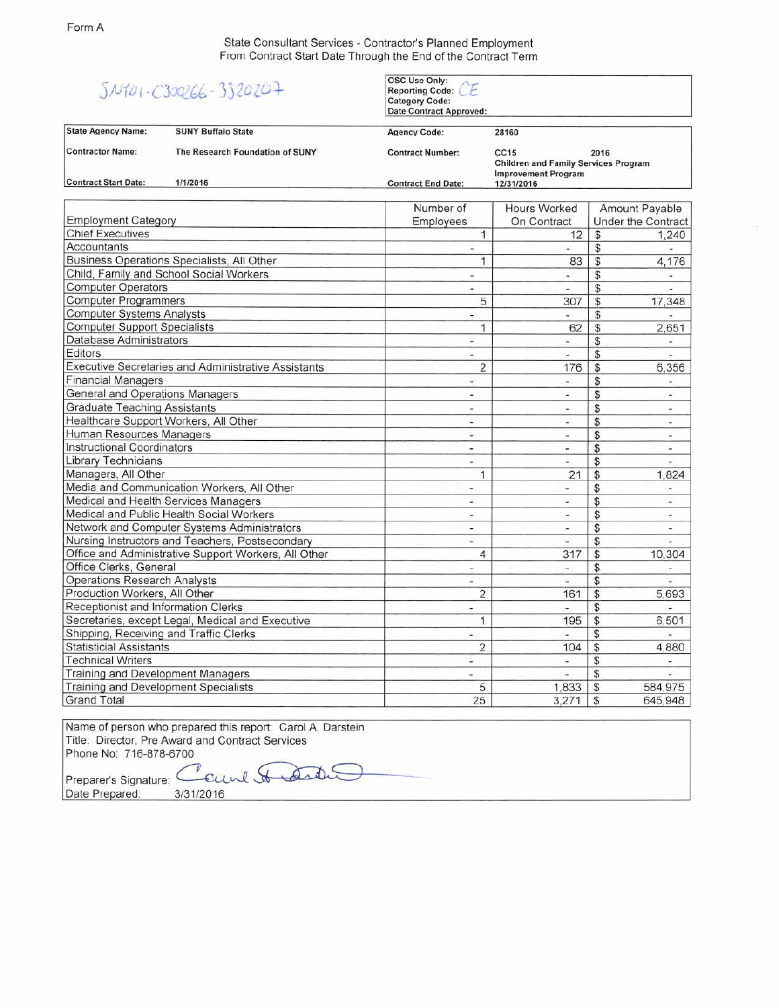State Consultant Services - Contractor's Planned Employment From Contract Start Date Through the End of the Contract Term

## $5N101 - C30266 - 3320207$

OSC Use Only: OSC USe Only:<br>Reporting Code:<br>Category Code:<br>Date Contract Approved

Contractor Name: The Research Foundation of SUNY Contract Number: CC15 2016 State Agency Name: SUNY Buffalo State Agency Code: 28160 Contract Start Date: *1/1/2016* Contract **End** Date: Children and Family Services Program Improvement Program *12131/2016* Number of Hours Worked Amount Payable

| <b>Employment Category</b>                           | Employees                | On Contract              |                | Under the Contract       |
|------------------------------------------------------|--------------------------|--------------------------|----------------|--------------------------|
| <b>Chief Executives</b>                              | 1                        | 12                       | $\mathcal{S}$  | 1,240                    |
| Accountants                                          | ٧                        |                          | \$             |                          |
| Business Operations Specialists, All Other           | 1                        | 83                       | $\mathcal{L}$  | 4,176                    |
| Child, Family and School Social Workers              | $\blacksquare$           | $\ddot{}$                | $\mathfrak{S}$ |                          |
| <b>Computer Operators</b>                            | $\overline{\phantom{a}}$ |                          | \$             |                          |
| <b>Computer Programmers</b>                          | 5                        | 307                      | $\mathfrak{s}$ | 17,348                   |
| <b>Computer Systems Analysts</b>                     | ÷                        |                          | \$             |                          |
| <b>Computer Support Specialists</b>                  | 1                        | 62                       | $\mathfrak{s}$ | 2,651                    |
| Database Administrators                              | $\overline{\phantom{a}}$ | ù,                       | \$             |                          |
| Editors                                              | ä,                       | ¥,                       | $\mathfrak{S}$ |                          |
| Executive Secretaries and Administrative Assistants  | $\overline{2}$           | 176                      | $\frac{1}{2}$  | 6,356                    |
| <b>Financial Managers</b>                            | ÷                        |                          | \$             |                          |
| General and Operations Managers                      | ÷                        | ۰                        | \$             | w.                       |
| <b>Graduate Teaching Assistants</b>                  | Ξ                        | ÷                        | \$             | $\overline{\phantom{a}}$ |
| Healthcare Support Workers, All Other                | $\overline{\phantom{a}}$ | $\overline{\phantom{a}}$ | \$             | ۰                        |
| Human Resources Managers                             | ٠                        | $\overline{a}$           | \$             | ۰                        |
| <b>Instructional Coordinators</b>                    | Ξ                        | ¥.                       | \$             | $\overline{\phantom{a}}$ |
| <b>Library Technicians</b>                           | $\overline{\phantom{a}}$ |                          | \$             | $\frac{1}{2}$            |
| Managers, All Other                                  | 1                        | 21                       | \$             | 1,824                    |
| Media and Communication Workers, All Other           | ÷                        | ÷                        | \$             | $\overline{\phantom{a}}$ |
| Medical and Health Services Managers                 | Ξ                        | ÷,                       | \$             | ÷,                       |
| Medical and Public Health Social Workers             | $\overline{\mathcal{C}}$ | ۰                        | \$             | $\omega$ :               |
| Network and Computer Systems Administrators          | ۰                        | ÷                        | \$             | m)                       |
| Nursing Instructors and Teachers, Postsecondary      | u,                       |                          | \$             |                          |
| Office and Administrative Support Workers, All Other | $\overline{4}$           | 317                      | \$             | 10,304                   |
| Office Clerks, General                               | -                        | $\overline{\phantom{a}}$ | \$             |                          |
| <b>Operations Research Analysts</b>                  | Ξ                        |                          | \$             |                          |
| Production Workers, All Other                        | $\overline{2}$           | 161                      | \$             | 5,693                    |
| Receptionist and Information Clerks                  | ۰                        |                          | \$             |                          |
| Secretaries, except Legal, Medical and Executive     | 1                        | 195                      | \$             | 6,501                    |
| Shipping, Receiving and Traffic Clerks               | ä,                       |                          | \$             |                          |
| <b>Statisticial Assistants</b>                       | $\overline{2}$           | 104                      | \$             | 4,880                    |
| <b>Technical Writers</b>                             | $\overline{\mathcal{L}}$ | $\overline{\phantom{a}}$ | \$             |                          |
| Training and Development Managers                    | ¥                        |                          | \$             |                          |
| Training and Development Specialists                 | 5                        | 1,833                    | S              | 584,975                  |
| <b>Grand Total</b>                                   | 25                       | 3,271                    | \$             | 645,948                  |

Name of person who prepared this report: Carol A. Darstein Title: Director, Pre Award and Contract Services Phone No: 716-878-6700

Preparer's Signature: Count of Art Date Prepared: **3/31/2016** 

 $\breve{\phantom{a}}$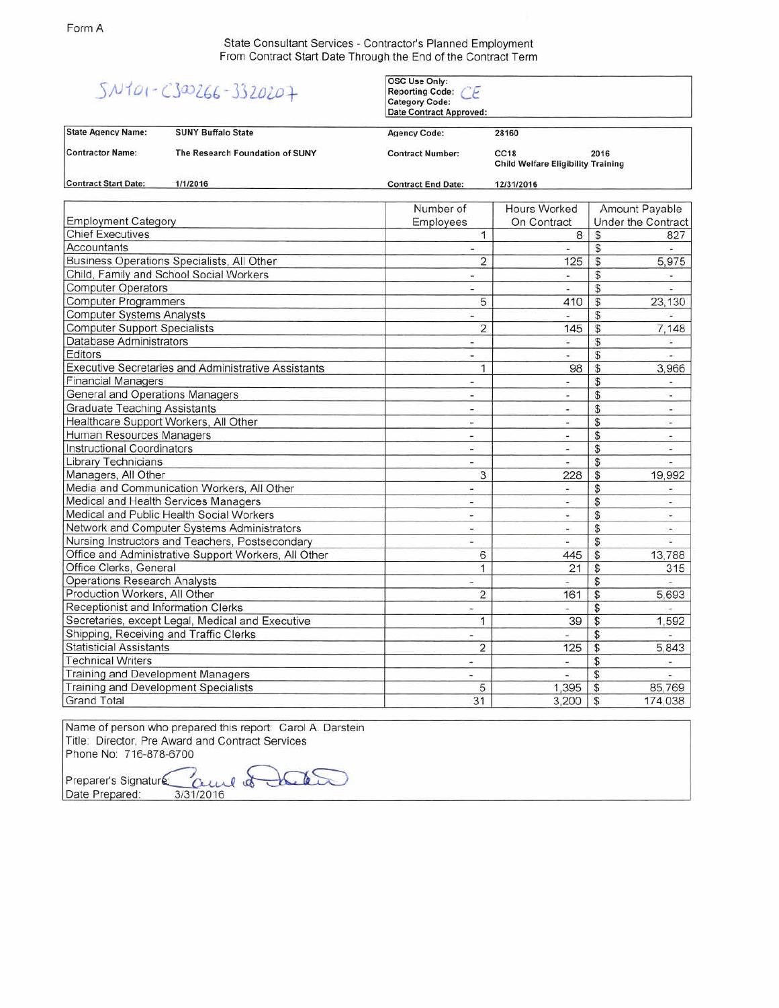State Consultant Services - Contractor's Planned Employment From Contract Start Date Through the End of the Contract Term

|  |  | $5N101 - C30266 - 3320207$ |  |  |  |  |
|--|--|----------------------------|--|--|--|--|
|--|--|----------------------------|--|--|--|--|

OSC Use Only: Reporting Code: CE Category Code:

Date Contract Approved: Contractor Name: The Research Foundation of SUNY Contract Number: CC18 2016 State Agency Name: SUNY Buffalo State Agency Code: 28160 Child Welfare Eligibility Training Contract Start Date: *1/1/2016* Contract End Date: *12131/2016* Number of Hours Worked Amount Payable Employment Category **Employees** On Contract Under the Contract Chief Executives 1 8 \$ 827<br>Accountants 1 8 \$ 827 Accountants - - \$ - Business Operations Specialists, All Other 2 125 \$ 5,975 Child, Family and School Social Workers - - \$ - Computer Operators - - \$ - Computer Programmers 5 410 \$ 23,130 AM S 23,130 AM S 23,130 AM S 23,130 AM S 23,130 AM S 23,130 AM S 23,130 AM S 23,130 AM S 23,130 AM S 23,130 AM S 23,130 AM S 23,130 AM S 23,130 AM S 23,130 AM S 23,130 AM S 23,130 AM S 2 Computer Systems Analysts<br>
Computer Support Specialists<br>
Computer Support Specialists<br>
2 145 \$ 7,148 **Computer Support Specialists** Database Administrators - - \$ - Editors - - \$ - Executive Secretaries and Administrative Assistants 1 98 \$ 3,966 Financial Manaaers - - \$ - General and Operations Manaaers - - \$ - Graduate Teachina Assistants - - \$ - Healthcare Support Workers, All Other - - - \$ 5 - - \$ Human Resources Manaaers - - \$ - Instructional Coordinators - - \$ - Library Technicians and the contract of the contract of the contract of the contract of the contract of the contract of the contract of the contract of the contract of the contract of the contract of the contract of the co Managers, All Other Media and Communication Workers, All Other - - \$ -

Medical and Health Services Manaaers - - \$ - Medical and Public Health Social Workers - - \$ - Network and Computer Systems Administrators  $\sim$  -  $\sim$  - \$

Office and Administrative Support Workers, All Other 6 6 445 \$ 13,788 Office Clerks, General 21 | 21 | 315 Operations Research Analvsts - - \$ - Production Workers, All Other 2 161 \$ 5,693 Receptionist and Information Clerks - - \$ - \$ Secretaries, except Legal, Medical and Executive 1 39 \$ 1,592

Nursina Instructors and Teachers, Postsecondary - - \$ -

ShiDDina, Receivina and Traffic Clerks - - \$ - Statisticial Assistants 2 125 \$ 5,843  $\blacksquare$  Technical Writers  $\blacksquare$ Training and Development Managers<br>
Training and Development Specialists<br>
Training and Development Specialists<br>
5 5 4,395 \$ 85,769 Training and Development Specialists 65 1,395 \$ 85,769<br>Grand Total 6 174,038 5 174,038 Grand Total 3.200 | 31 31 3,200 | 31 3,200 | 31 3,200 | 32 3,200 | 32 3,200 | 32 3,200 | 32 3,200 | 32 3,200 | 3

Name of person who prepared this report: Carol A. Darstein Title: Director, Pre Award and Contract Services Phone No: 716-878-6700

 $AC62$ Preparer's Signature *Qu*el of Date Prepared: *3/31/2016*